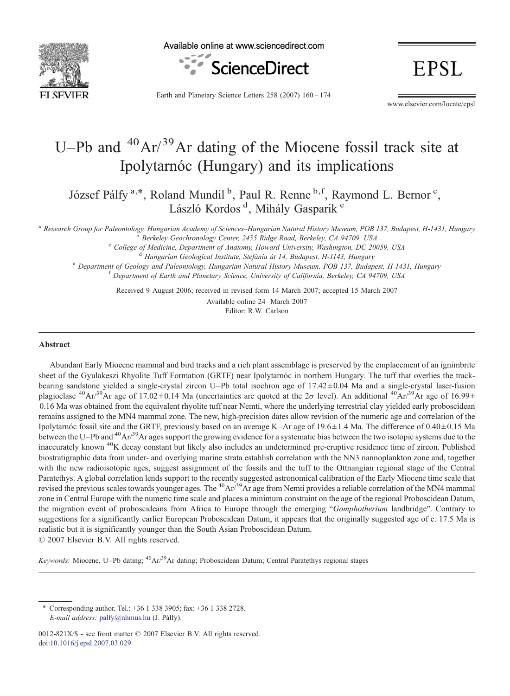

Available online at www.sciencedirect.com



**EPSL** 

Earth and Planetary Science Letters 258 (2007) 160–174

www.elsevier.com/locate/epsl

# U–Pb and  $^{40}Ar/^{39}Ar$  dating of the Miocene fossil track site at Ipolytarnóc (Hungary) and its implications

József Pálfy<sup>a,\*</sup>, Roland Mundil<sup>b</sup>, Paul R. Renne<sup>b,f</sup>, Raymond L. Bernor<sup>c</sup>, László Kordos<sup>d</sup>, Mihály Gasparik<sup>e</sup>

<sup>a</sup> Research Group for Paleontology, Hungarian Academy of Sciences–Hungarian Natural History Museum, POB 137, Budapest, H-1431, Hungary<br><sup>b</sup> Berkeley Geochronology Center, 2455 Ridge Road, Berkeley, CA 94709, USA<br><sup>c</sup> Colleg

<sup>e</sup> Department of Geology and Paleontology, Hungarian Natural History Museum, POB 137, Budapest, H-1431, Hungary<br><sup>f</sup> Department of Earth and Planetary Science, University of California, Berkeley, CA 94709, USA

Received 9 August 2006; received in revised form 14 March 2007; accepted 15 March 2007

Editor: R.W. Carlson Available online 24 March 2007

#### Abstract

Abundant Early Miocene mammal and bird tracks and a rich plant assemblage is preserved by the emplacement of an ignimbrite sheet of the Gyulakeszi Rhyolite Tuff Formation (GRTF) near Ipolytarnóc in northern Hungary. The tuff that overlies the trackbearing sandstone yielded a single-crystal zircon U–Pb total isochron age of  $17.42 \pm 0.04$  Ma and a single-crystal laser-fusion plagioclase <sup>40</sup>Ar/<sup>39</sup>Ar age of 17.02±0.14 Ma (uncertainties are quoted at the 2 $\sigma$  level). An additional <sup>40</sup>Ar/<sup>39</sup>Ar age of 16.99± 0.16 Ma was obtained from the equivalent rhyolite tuff near Nemti, where the underlying terrestrial clay yielded early proboscidean remains assigned to the MN4 mammal zone. The new, high-precision dates allow revision of the numeric age and correlation of the Ipolytarnóc fossil site and the GRTF, previously based on an average K–Ar age of 19.6 ± 1.4 Ma. The difference of 0.40 ± 0.15 Ma between the U–Pb and  $A^4O\text{Ar}^{39}\text{Ar}$  ages support the growing evidence for a systematic bias between the two isotopic systems due to the inaccurately known <sup>40</sup>K decay constant but likely also includes an undetermined pre-eruptive residence time of zircon. Published biostratigraphic data from under- and overlying marine strata establish correlation with the NN3 nannoplankton zone and, together with the new radioisotopic ages, suggest assignment of the fossils and the tuff to the Ottnangian regional stage of the Central Paratethys. A global correlation lends support to the recently suggested astronomical calibration of the Early Miocene time scale that revised the previous scales towards younger ages. The <sup>40</sup>Ar/<sup>39</sup>Ar age from Nemti provides a reliable correlation of the MN4 mammal zone in Central Europe with the numeric time scale and places a minimum constraint on the age of the regional Proboscidean Datum, the migration event of proboscideans from Africa to Europe through the emerging "Gomphotherium landbridge". Contrary to suggestions for a significantly earlier European Proboscidean Datum, it appears that the originally suggested age of c. 17.5 Ma is realistic but it is significantly younger than the South Asian Proboscidean Datum. © 2007 Elsevier B.V. All rights reserved.

Keywords: Miocene, U–Pb dating; <sup>40</sup>Ar/<sup>39</sup>Ar dating; Proboscidean Datum; Central Paratethys regional stages

<sup>⁎</sup> Corresponding author. Tel.: +36 1 338 3905; fax: +36 1 338 2728. E-mail address: [palfy@nhmus.hu](mailto:palfy@nhmus.hu) (J. Pálfy).

<sup>0012-821</sup>X/\$ - see front matter © 2007 Elsevier B.V. All rights reserved. doi[:10.1016/j.epsl.2007.03.029](http://dx.doi.org/10.1016/j.epsl.2007.03.029)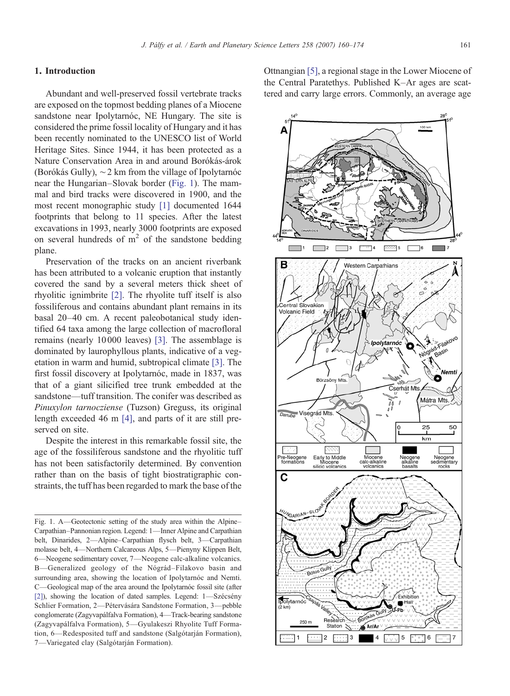## <span id="page-1-0"></span>1. Introduction

Abundant and well-preserved fossil vertebrate tracks are exposed on the topmost bedding planes of a Miocene sandstone near Ipolytarnóc, NE Hungary. The site is considered the prime fossil locality of Hungary and it has been recently nominated to the UNESCO list of World Heritage Sites. Since 1944, it has been protected as a Nature Conservation Area in and around Borókás-árok (Borókás Gully), ∼2 km from the village of Ipolytarnóc near the Hungarian–Slovak border (Fig. 1). The mammal and bird tracks were discovered in 1900, and the most recent monographic study [\[1\]](#page-11-0) documented 1644 footprints that belong to 11 species. After the latest excavations in 1993, nearly 3000 footprints are exposed on several hundreds of  $m<sup>2</sup>$  of the sandstone bedding plane.

Preservation of the tracks on an ancient riverbank has been attributed to a volcanic eruption that instantly covered the sand by a several meters thick sheet of rhyolitic ignimbrite [\[2\]](#page-11-0). The rhyolite tuff itself is also fossiliferous and contains abundant plant remains in its basal 20–40 cm. A recent paleobotanical study identified 64 taxa among the large collection of macrofloral remains (nearly 10 000 leaves) [\[3\].](#page-11-0) The assemblage is dominated by laurophyllous plants, indicative of a vegetation in warm and humid, subtropical climate [\[3\].](#page-11-0) The first fossil discovery at Ipolytarnóc, made in 1837, was that of a giant silicified tree trunk embedded at the sandstone—tuff transition. The conifer was described as Pinuxylon tarnocziense (Tuzson) Greguss, its original length exceeded 46 m [\[4\],](#page-11-0) and parts of it are still preserved on site.

Despite the interest in this remarkable fossil site, the age of the fossiliferous sandstone and the rhyolitic tuff has not been satisfactorily determined. By convention rather than on the basis of tight biostratigraphic constraints, the tuff has been regarded to mark the base of the Ottnangian [\[5\]](#page-12-0), a regional stage in the Lower Miocene of the Central Paratethys. Published K–Ar ages are scattered and carry large errors. Commonly, an average age



Fig. 1. A—Geotectonic setting of the study area within the Alpine– Carpathian–Pannonian region. Legend: 1—Inner Alpine and Carpathian belt, Dinarides, 2—Alpine–Carpathian flysch belt, 3—Carpathian molasse belt, 4—Northern Calcareous Alps, 5—Pienyny Klippen Belt, 6—Neogene sedimentary cover, 7—Neogene calc-alkaline volcanics. B—Generalized geology of the Nógrád–Filakovo basin and surrounding area, showing the location of Ipolytarnóc and Nemti. C—Geological map of the area around the Ipolytarnóc fossil site (after [\[2\]\)](#page-11-0), showing the location of dated samples. Legend: 1—Szécsény Schlier Formation, 2—Pétervására Sandstone Formation, 3—pebble conglomerate (Zagyvapálfalva Formation), 4—Track-bearing sandstone (Zagyvapálfalva Formation), 5—Gyulakeszi Rhyolite Tuff Formation, 6—Redesposited tuff and sandstone (Salgótarján Formation), 7—Variegated clay (Salgótarján Formation).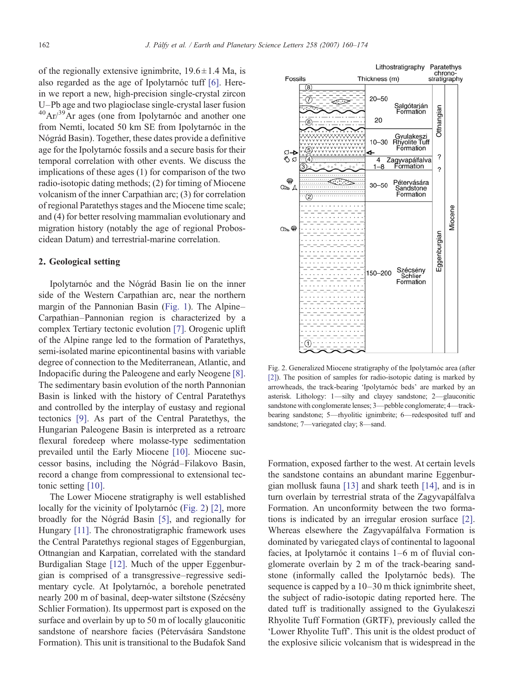of the regionally extensive ignimbrite,  $19.6 \pm 1.4$  Ma, is also regarded as the age of Ipolytarnóc tuff [\[6\].](#page-12-0) Herein we report a new, high-precision single-crystal zircon U–Pb age and two plagioclase single-crystal laser fusion  $^{40}Ar/^{39}Ar$  ages (one from Ipolytarnóc and another one from Nemti, located 50 km SE from Ipolytarnóc in the Nógrád Basin). Together, these dates provide a definitive age for the Ipolytarnóc fossils and a secure basis for their temporal correlation with other events. We discuss the implications of these ages (1) for comparison of the two radio-isotopic dating methods; (2) for timing of Miocene volcanism of the inner Carpathian arc; (3) for correlation of regional Paratethys stages and the Miocene time scale; and (4) for better resolving mammalian evolutionary and migration history (notably the age of regional Proboscidean Datum) and terrestrial-marine correlation.

#### 2. Geological setting

Ipolytarnóc and the Nógrád Basin lie on the inner side of the Western Carpathian arc, near the northern margin of the Pannonian Basin [\(Fig. 1\)](#page-1-0). The Alpine– Carpathian–Pannonian region is characterized by a complex Tertiary tectonic evolution [\[7\].](#page-12-0) Orogenic uplift of the Alpine range led to the formation of Paratethys, semi-isolated marine epicontinental basins with variable degree of connection to the Mediterranean, Atlantic, and Indopacific during the Paleogene and early Neogene [\[8\].](#page-12-0) The sedimentary basin evolution of the north Pannonian Basin is linked with the history of Central Paratethys and controlled by the interplay of eustasy and regional tectonics [\[9\].](#page-12-0) As part of the Central Paratethys, the Hungarian Paleogene Basin is interpreted as a retroarc flexural foredeep where molasse-type sedimentation prevailed until the Early Miocene [\[10\].](#page-12-0) Miocene successor basins, including the Nógrád–Filakovo Basin, record a change from compressional to extensional tectonic setting [\[10\].](#page-12-0)

The Lower Miocene stratigraphy is well established locally for the vicinity of Ipolytarnóc (Fig. 2) [\[2\],](#page-11-0) more broadly for the Nógrád Basin [\[5\],](#page-12-0) and regionally for Hungary [\[11\]](#page-12-0). The chronostratigraphic framework uses the Central Paratethys regional stages of Eggenburgian, Ottnangian and Karpatian, correlated with the standard Burdigalian Stage [\[12\].](#page-12-0) Much of the upper Eggenburgian is comprised of a transgressive–regressive sedimentary cycle. At Ipolytarnóc, a borehole penetrated nearly 200 m of basinal, deep-water siltstone (Szécsény Schlier Formation). Its uppermost part is exposed on the surface and overlain by up to 50 m of locally glauconitic sandstone of nearshore facies (Pétervására Sandstone Formation). This unit is transitional to the Budafok Sand



Fig. 2. Generalized Miocene stratigraphy of the Ipolytarnóc area (after [\[2\]](#page-11-0)). The position of samples for radio-isotopic dating is marked by arrowheads, the track-bearing 'Ipolytarnóc beds' are marked by an asterisk. Lithology: 1—silty and clayey sandstone; 2—glauconitic sandstone with conglomerate lenses; 3-pebble conglomerate; 4-trackbearing sandstone; 5—rhyolitic ignimbrite; 6—redesposited tuff and sandstone; 7—variegated clay; 8—sand.

Formation, exposed farther to the west. At certain levels the sandstone contains an abundant marine Eggenburgian mollusk fauna [\[13\]](#page-12-0) and shark teeth [\[14\],](#page-12-0) and is in turn overlain by terrestrial strata of the Zagyvapálfalva Formation. An unconformity between the two formations is indicated by an irregular erosion surface [\[2\].](#page-11-0) Whereas elsewhere the Zagyvapálfalva Formation is dominated by variegated clays of continental to lagoonal facies, at Ipolytarnóc it contains 1–6 m of fluvial conglomerate overlain by 2 m of the track-bearing sandstone (informally called the Ipolytarnóc beds). The sequence is capped by a 10–30 m thick ignimbrite sheet, the subject of radio-isotopic dating reported here. The dated tuff is traditionally assigned to the Gyulakeszi Rhyolite Tuff Formation (GRTF), previously called the 'Lower Rhyolite Tuff'. This unit is the oldest product of the explosive silicic volcanism that is widespread in the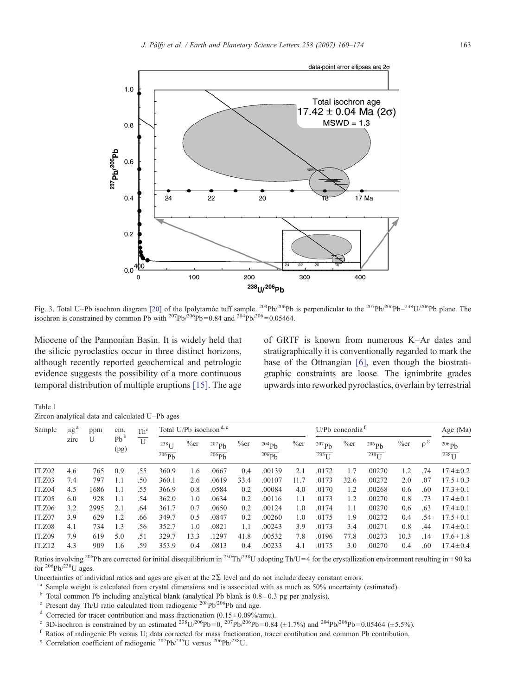<span id="page-3-0"></span>

Fig. 3. Total U–Pb isochron diagram [\[20\]](#page-12-0) of the Ipolytarnóc tuff sample. <sup>204</sup>Pb/<sup>206</sup>Pb is perpendicular to the <sup>207</sup>Pb/<sup>206</sup>Pb–<sup>238</sup>U/<sup>206</sup>Pb plane. The isochron is constrained by common Pb with  $^{207}Pb^{206}Pb = 0.84$  and  $^{204}Pb^{206} = 0.05464$ .

Miocene of the Pannonian Basin. It is widely held that the silicic pyroclastics occur in three distinct horizons, although recently reported geochemical and petrologic evidence suggests the possibility of a more continuous temporal distribution of multiple eruptions [\[15\]](#page-12-0). The age of GRTF is known from numerous K–Ar dates and stratigraphically it is conventionally regarded to mark the base of the Ottnangian [\[6\]](#page-12-0), even though the biostratigraphic constraints are loose. The ignimbrite grades upwards into reworked pyroclastics, overlain by terrestrial

Table 1 Zircon analytical data and calculated U–Pb ages

| Sample        | $\mu$ g | ppm  | cm.            | Th <sup>c</sup> | Total U/Pb isochron <sup>d, e</sup>            |         |                   |         |                   | U/Pb concordia |                               |            |                               |            | Age (Ma)   |                  |
|---------------|---------|------|----------------|-----------------|------------------------------------------------|---------|-------------------|---------|-------------------|----------------|-------------------------------|------------|-------------------------------|------------|------------|------------------|
|               | zirc    |      | $Pb^b$<br>(pg) | U               | $238$ <sub>I</sub> J<br>$\overline{^{206}}$ Ph | $\%$ er | $207$ Ph<br>206Pb | $\%$ er | 204Ph<br>$206$ Ph | $\%$ er        | 207Pb<br>$235$ <sup>I J</sup> | $\%$ er    | 206Pb<br>$238$ <sup>I J</sup> | $\%$ er    | $\rho^g$   | 206Ph<br>$238$ U |
| <b>IT.Z02</b> | 4.6     | 765  | 0.9            | .55             | 360.9                                          | 1.6     | .0667             | 0.4     | .00139            | 2.1            | .0172                         | 1.7        | .00270                        | 1.2        | .74        | $17.4 \pm 0.2$   |
| IT.Z03        | 7.4     | 797  | 1.1            | .50             | 360.1                                          | 2.6     | .0619             | 33.4    | .00107            | 11.7           | .0173                         | 32.6       | .00272                        | 2.0        | .07        | $17.5 \pm 0.3$   |
| IT.Z04        | 4.5     | 1686 | 1.1            | .55             | 366.9                                          | 0.8     | .0584             | 0.2     | .00084            | 4.0            | .0170                         | 1.2        | .00268                        | 0.6        | .60        | $17.3 \pm 0.1$   |
| IT.Z05        | 6.0     | 928  | 1.1            | .54             | 362.0                                          | 1.0     | .0634             | 0.2     | .00116            | 1.1            | .0173                         | 1.2<br>1.1 | .00270<br>.00270              | 0.8<br>0.6 | .73<br>.63 | $17.4 \pm 0.1$   |
| IT.Z06        | 3.2     | 2995 | 2.1            | .64             | 361.7                                          | 0.7     | .0650             | 0.2     | .00124            | 1.0            | .0174                         |            |                               |            |            | $17.4 \pm 0.1$   |
| IT.Z07        | 3.9     | 629  | 1.2            | .66             | 349.7                                          | 0.5     | .0847             | 0.2     | .00260            | 1.0            | .0175                         | 1.9        | .00272                        | 0.4        | .54        | $17.5 \pm 0.1$   |
| IT.Z08        | 4.1     | 734  | 1.3            | .56             | 352.7                                          | 1.0     | .0821             | 1.1     | .00243            | 3.9            | .0173                         | 3.4        | .00271                        | 0.8        | .44        | $17.4 \pm 0.1$   |
| IT.Z09        | 7.9     | 619  | 5.0            | .51             | 329.7                                          | 13.3    | .1297             | 41.8    | .00532            | 7.8            | .0196                         | 77.8       | .00273                        | 10.3       | .14        | $17.6 \pm 1.8$   |
| IT.Z12        | 4.3     | 909  | 1.6            | .59             | 353.9                                          | 0.4     | .0813             | 0.4     | .00233            | 4.1            | .0175                         | 3.0        | .00270                        | 0.4        | .60        | $17.4 \pm 0.4$   |

Ratios involving <sup>206</sup>Pb are corrected for initial disequilibrium in <sup>230</sup>Th/<sup>238</sup>U adopting Th/U=4 for the crystallization environment resulting in +90 ka for  $^{206}Pb/^{238}U$  ages.

Uncertainties of individual ratios and ages are given at the 2 $\Sigma$  level and do not include decay constant errors.<br><sup>a</sup> Sample weight is calculated from crystal dimensions and is associated with as much as 50% uncertainty

<sup>g</sup> Correlation coefficient of radiogenic <sup>207</sup>Pb/<sup>235</sup>U versus <sup>206</sup>Pb/<sup>238</sup>U.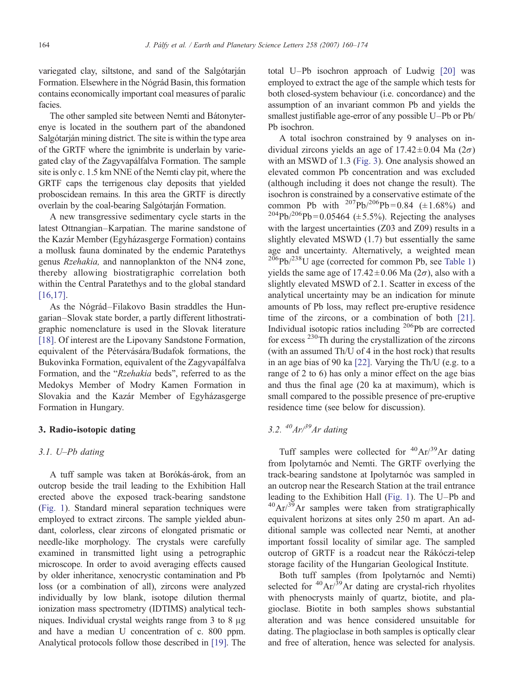variegated clay, siltstone, and sand of the Salgótarján Formation. Elsewhere in the Nógrád Basin, this formation contains economically important coal measures of paralic facies.

The other sampled site between Nemti and Bátonyterenye is located in the southern part of the abandoned Salgótarján mining district. The site is within the type area of the GRTF where the ignimbrite is underlain by variegated clay of the Zagyvapálfalva Formation. The sample site is only c. 1.5 km NNE of the Nemti clay pit, where the GRTF caps the terrigenous clay deposits that yielded proboscidean remains. In this area the GRTF is directly overlain by the coal-bearing Salgótarján Formation.

A new transgressive sedimentary cycle starts in the latest Ottnangian–Karpatian. The marine sandstone of the Kazár Member (Egyházasgerge Formation) contains a mollusk fauna dominated by the endemic Paratethys genus Rzehakia, and nannoplankton of the NN4 zone, thereby allowing biostratigraphic correlation both within the Central Paratethys and to the global standard [\[16,17\]](#page-12-0).

As the Nógrád–Filakovo Basin straddles the Hungarian–Slovak state border, a partly different lithostratigraphic nomenclature is used in the Slovak literature [\[18\].](#page-12-0) Of interest are the Lipovany Sandstone Formation, equivalent of the Pétervására/Budafok formations, the Bukovinka Formation, equivalent of the Zagyvapálfalva Formation, and the "Rzehakia beds", referred to as the Medokys Member of Modry Kamen Formation in Slovakia and the Kazár Member of Egyházasgerge Formation in Hungary.

## 3. Radio-isotopic dating

### 3.1. U–Pb dating

A tuff sample was taken at Borókás-árok, from an outcrop beside the trail leading to the Exhibition Hall erected above the exposed track-bearing sandstone [\(Fig. 1](#page-1-0)). Standard mineral separation techniques were employed to extract zircons. The sample yielded abundant, colorless, clear zircons of elongated prismatic or needle-like morphology. The crystals were carefully examined in transmitted light using a petrographic microscope. In order to avoid averaging effects caused by older inheritance, xenocrystic contamination and Pb loss (or a combination of all), zircons were analyzed individually by low blank, isotope dilution thermal ionization mass spectrometry (IDTIMS) analytical techniques. Individual crystal weights range from 3 to 8 μg and have a median U concentration of c. 800 ppm. Analytical protocols follow those described in [\[19\].](#page-12-0) The total U–Pb isochron approach of Ludwig [\[20\]](#page-12-0) was employed to extract the age of the sample which tests for both closed-system behaviour (i.e. concordance) and the assumption of an invariant common Pb and yields the smallest justifiable age-error of any possible U–Pb or Pb/ Pb isochron.

A total isochron constrained by 9 analyses on individual zircons yields an age of  $17.42 \pm 0.04$  Ma  $(2\sigma)$ with an MSWD of 1.3 [\(Fig. 3\)](#page-3-0). One analysis showed an elevated common Pb concentration and was excluded (although including it does not change the result). The isochron is constrained by a conservative estimate of the common Pb with  $^{207}Pb^{206}Pb = 0.84$  (±1.68%) and  $^{204}Pb^{206}Pb = 0.05464 \ (\pm 5.5\%)$ . Rejecting the analyses with the largest uncertainties (Z03 and Z09) results in a slightly elevated MSWD (1.7) but essentially the same age and uncertainty. Alternatively, a weighted mean  $^{206}Pb/^{238}$ U age (corrected for common Pb, see [Table 1](#page-3-0)) yields the same age of  $17.42 \pm 0.06$  Ma  $(2\sigma)$ , also with a slightly elevated MSWD of 2.1. Scatter in excess of the analytical uncertainty may be an indication for minute amounts of Pb loss, may reflect pre-eruptive residence time of the zircons, or a combination of both [\[21\].](#page-12-0) Individual isotopic ratios including <sup>206</sup>Pb are corrected for excess 230Th during the crystallization of the zircons (with an assumed Th/U of 4 in the host rock) that results in an age bias of 90 ka [\[22\]](#page-12-0). Varying the Th/U (e.g. to a range of 2 to 6) has only a minor effect on the age bias and thus the final age (20 ka at maximum), which is small compared to the possible presence of pre-eruptive residence time (see below for discussion).

## 3.2.  $^{40}Ar^{\beta9}Ar$  dating

Tuff samples were collected for  ${}^{40}Ar/{}^{39}Ar$  dating from Ipolytarnóc and Nemti. The GRTF overlying the track-bearing sandstone at Ipolytarnóc was sampled in an outcrop near the Research Station at the trail entrance leading to the Exhibition Hall [\(Fig. 1](#page-1-0)). The U–Pb and  $^{40}$ Ar/ $^{39}$ Ar samples were taken from stratigraphically equivalent horizons at sites only 250 m apart. An additional sample was collected near Nemti, at another important fossil locality of similar age. The sampled outcrop of GRTF is a roadcut near the Rákóczi-telep storage facility of the Hungarian Geological Institute.

Both tuff samples (from Ipolytarnóc and Nemti) selected for  ${}^{40}Ar/{}^{39}Ar$  dating are crystal-rich rhyolites with phenocrysts mainly of quartz, biotite, and plagioclase. Biotite in both samples shows substantial alteration and was hence considered unsuitable for dating. The plagioclase in both samples is optically clear and free of alteration, hence was selected for analysis.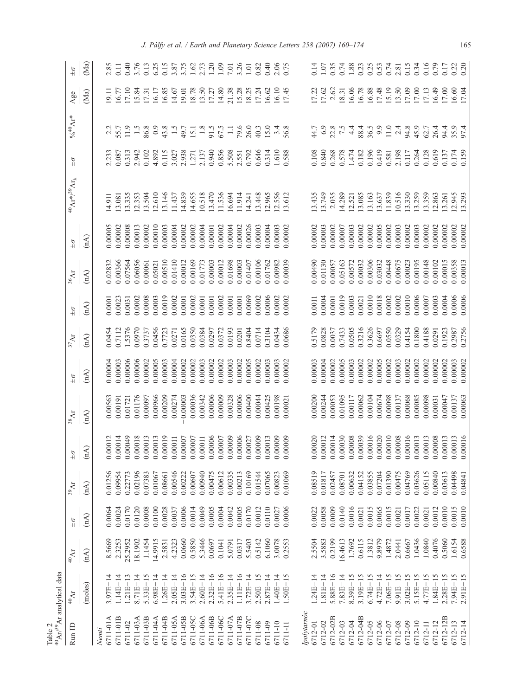<span id="page-5-0"></span>

| 40 Ar/39 Ar analytical data<br>Table 2 |                   |                    |               |                                                                                                          |               |                    |               |                    |               |                    |              |                                                   |               |                        |                  |               |
|----------------------------------------|-------------------|--------------------|---------------|----------------------------------------------------------------------------------------------------------|---------------|--------------------|---------------|--------------------|---------------|--------------------|--------------|---------------------------------------------------|---------------|------------------------|------------------|---------------|
| Run ID                                 | $^{40}\!{\rm Ar}$ | $^{40}\mathrm{Ar}$ | $\frac{6}{4}$ | $^{39}\mathrm{Ar}$                                                                                       | $\frac{1}{2}$ | $^{38}\mathrm{Ar}$ | $\frac{6}{4}$ | $^{37}\mathrm{Ar}$ | $\frac{6}{4}$ | $^{36}\mathrm{Ar}$ | $\pm \sigma$ | $^{40}\mathrm{Ar}^{*/39}\mathrm{Ar}_{\mathrm{k}}$ | $\frac{1}{2}$ | $\%^{40}\text{Ar}^{*}$ | Agee             | $\frac{1}{2}$ |
|                                        | (moles)           | (M)                | (nA)          | (nA)                                                                                                     | (A)           | (M)                | (nA)          | (nA)               | (M)           | (A)                | (M)          |                                                   |               |                        | (Ma)             | (Ma           |
| 6711-01A<br>Nemti                      | $3.97E - 14$      | 8.5669             | 0.0064        |                                                                                                          | 0.00012       | 0.00563            | 00000.        | 0.0454             | 0.0001        | 0.02832            | 00000.00     | 14.911                                            | 2.233         | 2.2                    | 9.11             | 2.85          |
| 6711-01B                               | $1.14E - 14$      | 2.3253             | 0.0024        | 0.01256<br>0.09954                                                                                       | 0.00014       | 0.00191            | 0.0003        | 0.7112             | 0.0023        | 0.00366            | 0.00002      | 13.081                                            | 0.087         | 55.7                   | 16.77            | 0.11          |
| 6711-02                                | $1.21E - 13$      | 25.2952            | 0.0170        |                                                                                                          | 0.00049       | 0.01721            | 0.00006       | 1.5376             | 0.0031        | 0.07564            | 0.00008      | 13.335                                            | 0.313         | 11.9                   | 17.10            | 0.40          |
| 6711-03A                               | $8.71E - 14$      | 18.1902            | 0.0120        | 0.22773<br>0.02196                                                                                       | 0.00018       | 0.01176            | 0.00006       | 0.0970             | 0.0002        | 0.06056            | 0.00013      | 12.353                                            | 2.942         | 1.5                    | 5.84             | 3.76          |
| 6711-03B                               | $5.33E - 15$      | 1.1454             | 0.0008        | 0.07383                                                                                                  | 0.00013       | 0.00097            | 0.00002       | 0.3737             | 0.0008        | 0.00061            | 0.00002      | 13.504                                            | 0.102         | 86.8                   | 17.31            | 0.13          |
| 6711-04A                               | $6.98E - 14$      | 14.9915            | 0.0100        |                                                                                                          | 0.00013       | 0.00966            | 0.00005       | 0.0456             | 0.0003        | 0.05021            | 0.00010      | 12.610                                            | 4.892         | $_{0.9}$               | 6.17             | 6.25          |
| 6711-04B                               | $1.26E - 14$      | 2.5831             | 0.0028        | $\begin{array}{c} 0.01067 \\ 0.08661 \\ 0.00546 \\ 0.00222 \\ 0.00607 \end{array}$                       | 0.00019       | 0.00209            | 0.00003       | 0.7723             | 0.0019        | 0.00510            | 0.00003      | 3.146                                             | 0.115         | 43.8                   | 16.85            | 0.15          |
| 6711-05A                               | $2.05E - 14$      | 4.2323             | 0.0037        |                                                                                                          | 0.00011       | 0.00274            | 0.00004       | 0.0271             | 0.0002        | 0.01410            | 0.00004      | 11.437                                            | 3.027         | $\ddot{1}$ .5          | 14.67            | 3.87          |
| 6711-05B                               | $3.03E - 16$      | 0.0660             | 0.0006        |                                                                                                          | 0.00007       | 0.00003            | 0.00002       | 0.0165             | 0.0001        | 0.00012            | 0.00002      | 14.839                                            | 2.938         | 49.7                   | 19.01            | 3.75          |
| 6711-05C                               | $3.54E - 15$      | 0.5850             | 0.0014        |                                                                                                          | 0.00007       | 0.00036            | 0.00002       | 0.0350             | 0.0002        | 0.00169            | 0.00002      | 14.655                                            | 1.271         | 15.1                   | 18.78            | 1.62          |
| 6711-06A                               | $2.60E - 14$      | 5.3446             | 0.0049        |                                                                                                          | 0.00011       | 0.00342            | 0.00003       | 0.0384             | 0.0001        | 0.01773            | 0.00004      | 10.518                                            | 2.137         | 1.8                    | 13.50            |               |
| 6711-06B                               | $2.32E - 16$      | 0.0697             | 0.0005        | $\begin{array}{c} 0.00940 \\ 0.00475 \\ 0.00612 \\ 0.00612 \\ 0.00335 \\ \end{array}$                    | 0.00006       | 0.00006            | 0.00002       | 0.0297             | 0.0001        | 0.00003            | 0.00001      | 13.470                                            | 0.940         | 91.5                   | 17.27            | 1.20          |
| 6711-06C                               | $5.41E - 16$      | 0.1041             | 0.0004        |                                                                                                          | 0.00007       | 0.00009            | 0.00002       | 0.0372             | 0.0002        | 0.00012            | 0.00002      | 11.536                                            | 0.856         | 67.5                   | 14.80            | 1.09          |
| 6711-07A                               | $2.35E - 14$      | 5.0791             | 0.0042        |                                                                                                          | 0.00009       | 0.00328            | 0.00003       | 0.0193             | 0.0001        | 0.01698            | 0.00004      | 16.694                                            | 5.508         | $\Box$                 | 21.38            | 7.01          |
| 6711-07B                               | $1.11E-16$        | 0.0317             | 0.0005        |                                                                                                          | 0.00006       | 0.00006            | 0.00002       | 0.0201             | 0.0001        | 0.00003            | 0.00002      | 11.914                                            | 2.551         | 79.6                   | 15.28            | 3.26          |
| 6711-07C                               | $3.72E - 14$      | 5.5403             | 0.0170        | $69$<br>0.1016                                                                                           | 0.00027       | 0.00400            | 0.00005       | 0.8404             | 0.0069        | 0.01407            | 0.00026      | 14.241                                            | 0.792         | 26.0                   | 18.25            | 1.01          |
| 6711-08                                | $2.50E - 15$      | 0.5142             | 0.0012        |                                                                                                          | 0.00009       | 0.00044            | 0.00002       | 0.0714             | 0.0002        | 0.00106            | 0.00003      | 13.448                                            | 0.646         | 40.3                   | 17.24            | 0.82          |
| 6711-09                                | $2.87E - 14$      | 6.1060             | 0.0110        |                                                                                                          | 0.00013       | 0.00425            | 0.00003       | 0.3104             | 0.0006        | 0.01762            | D.00004      | 12.965                                            | 0.314         | 15.0                   | 16.62            | 0.40          |
| 6711-10                                | $1.40E - 14$      | 3.0078             | 0.0027        | $\begin{array}{c} 0.01544 \\ 0.07065 \\ 0.00823 \end{array}$                                             | 0.00009       | 0.00198            | 0.00003       | 0.0434             | 0.0002        | 0.00982            | 0.00003      | 12.556                                            | 1.610         | 3.4                    | 16.10            | 2.06          |
| 6711-11                                | $1.50E - 15$      | 0.2553             | 0.0006        | 0.01069                                                                                                  | 0.00009       | 0.00021            | 0.00002       | 0.0686             | 0.0002        | 0.00039            | 0.00002      | 13.612                                            | 0.588         | 56.8                   | 17.45            | 0.75          |
| lpolytarnóc                            |                   |                    |               |                                                                                                          |               |                    |               |                    |               |                    |              |                                                   |               |                        |                  |               |
| 6712-01                                | $1.24E - 14$      | 2.5504             | 0.0022        | 0.08519                                                                                                  | 0.00020       | 0.00200            | 0.00003       | 0.5179             | 0.0011        | 0.00490            | 0.00002      | 13.435                                            | 0.108         | 44.7                   |                  | 0.14          |
| 6712-02                                | $1.81E-14$        | 3.5883             | 0.0058        | 0.01817                                                                                                  | 0.00012       | 0.00244            | 0.00004       | 0.0828             | 0.0004        | 0.01130            | 0.00003      | 13.749                                            | 0.840         | 6.9                    | 17.22<br>17.62   | 1.07          |
| 6712-02B                               | $5.88E - 16$      | 0.2199             | 0.0009        | $\begin{array}{c} 0.02457 \\ 0.08701 \\ 0.00632 \\ 0.00632 \\ 0.04152 \\ 0.03855 \\ 0.03855 \end{array}$ | 0.00014       | 0.00053            | 0.00002       | 0.0037             | 0.0001        | 0.00057            | 0.00002      | 2.035                                             | 0.268         |                        | 2.62             | 0.35          |
| 6712-03                                | $7.83E - 14$      | 16.4613            | 0.0140        |                                                                                                          | 0.00030       | 0.01095            | 00000.00      | 0.7433             | 0.0019        | 0.05163            | 00000.       | 14.289                                            | 0.578         | 22.8<br>7.5            | 8.31             | 0.74          |
| 6712-04                                | $8.39E - 15$      | 1.7692             | 0.0016        |                                                                                                          | 0.00008       | 0.00117            | 0.00003       | 0.0505             | 0.0003        | 0.00572            | 0.00003      | 12.521                                            | 1.474         | 4.4                    | 16.06            | 1.88          |
| 6712-04B                               | $3.19E - 15$      | 0.6115             | 0.0021        |                                                                                                          | 0.00039       | 0.00062            | 0.00002       | 0.3216             | 0.0021        | 0.00032            | 0.00002      | 13.085                                            | 0.182         | 88.4                   | 16.78            | 0.23          |
| 6712-05                                | $6.74E - 15$      | 1.3812             | 0.0015        |                                                                                                          | 0.00016       | 0.00104            | 0.00002       | 0.3626             | 0.0010        | 0.00306            | 0.00002      | 13.163                                            | 0.196         | 36.5                   | 6.88             | 0.25          |
| 6712-06                                | $4.72E - 14$      | 9.8979             | 0.0065        |                                                                                                          | 0.00020       | 0.00674            | 0.00005       | 0.6697             | 0.0018        | 0.03032            | 0.00005      | 13.637                                            | 0.419         | 9.9                    | 17.48            | 0.53          |
| 6712-07                                | $7.06E - 15$      | 1.4872             | 0.0015        |                                                                                                          | 0.00010       | 0.00098            | 0.00002       | 0.0550             | 0.0002        | 0.00448            | 0.00002      | 11.839                                            | 0.581         | 11.0                   | 15.19            | 0.74          |
| 6712-08                                | $9.91E - 15$      | 2.0441             | 0.0021        |                                                                                                          | 0.00008       | 0.00137            | 0.00003       | 0.0329             | 0.0002        | 0.00675            | 0.00003      | 10.516                                            | 2.198         | 2.4                    | 3.50             | 2.81          |
| 6712-09                                | $3.02E - 15$      | 0.6667             | 0.0017        | $\begin{array}{c} 0.01390 \\ 0.00475 \\ 0.04769 \\ 0.03626 \\ 0.03626 \end{array}$                       | 0.00016       | 0.00068            | 0.00002       | 0.4154             | 0.0010        | 0.00023            | 0.00002      | 13.330                                            | 0.117         | 94.8                   | 7.09             | 0.15          |
| 6712-10                                | $5.15E - 15$      | 1.0436             | 0.0022        |                                                                                                          | 0.00013       | 0.00085            | 0.00002       | 0.1800             | 0.0006        | 0.00195            | 0.00003      | 13.259                                            | 0.264         | 45.9                   | 17.00            | 0.34          |
| 6712-11                                | $4.77E - 15$      | 1.0840             | 0.0021        |                                                                                                          | 0.00013       | 0.00098            | 0.00002       | 0.4188             | 0.0007        | 0.00148            | 0.00002      | 13.359                                            | 0.128         | 62.7                   | 17.13            | 0.16          |
| 6712-12                                | $1.84E - 15$      | 0.4076             | 0.0012        | 0.00840                                                                                                  | 0.00008       | 0.00031            | 0.00002       | 0.0291             | 0.0003        | 0.00102            | 0.00002      | 12.863                                            | 0.619         | 26.4                   | 6.49             | 0.79          |
| 6712-12B                               | $2.28E - 15$      | 0.5060             | 0.0010        | 0.03613                                                                                                  | 0.00013       | 0.00047            | 0.00002       | 0.1923             | 0.0004        | 0.00015            | 0.00002      | 13.261                                            | 0.137         | 94.4                   | 7.00             | 0.17          |
| 6712-13                                | 7.94E-15          | 1.6154             | 0.0015        | 0.04498                                                                                                  | 0.00013       | 0.00137            | 0.00003       | 0.2987             | 0.0006        | 0.00358            | 0.00002      | 12.945                                            | 0.174         | 35.9<br>97.4           | $16.60$<br>17.04 | 0.22          |
| 6712-14                                | $2.91E - 15$      | 0.6588             | 0.0010        | 0.04841                                                                                                  | 0.00016       | 0.00063            | 0.00002       | 0.2756             | 0.0006        | 0.00013            | 0.00002      | 13.293                                            | 0.159         |                        |                  | 0.20          |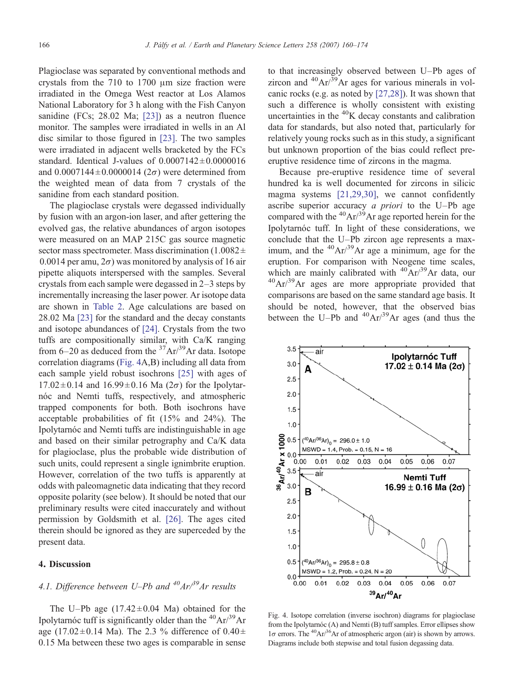Plagioclase was separated by conventional methods and crystals from the 710 to 1700 μm size fraction were irradiated in the Omega West reactor at Los Alamos National Laboratory for 3 h along with the Fish Canyon sanidine (FCs; 28.02 Ma; [\[23\]](#page-12-0)) as a neutron fluence monitor. The samples were irradiated in wells in an Al disc similar to those figured in [\[23\]](#page-12-0). The two samples were irradiated in adjacent wells bracketed by the FCs standard. Identical J-values of  $0.0007142 \pm 0.0000016$ and  $0.0007144 \pm 0.0000014$  (2 $\sigma$ ) were determined from the weighted mean of data from 7 crystals of the sanidine from each standard position.

The plagioclase crystals were degassed individually by fusion with an argon-ion laser, and after gettering the evolved gas, the relative abundances of argon isotopes were measured on an MAP 215C gas source magnetic sector mass spectrometer. Mass discrimination  $(1.0082 \pm$ 0.0014 per amu,  $2\sigma$ ) was monitored by analysis of 16 air pipette aliquots interspersed with the samples. Several crystals from each sample were degassed in 2–3 steps by incrementally increasing the laser power. Ar isotope data are shown in [Table 2.](#page-5-0) Age calculations are based on 28.02 Ma [\[23\]](#page-12-0) for the standard and the decay constants and isotope abundances of [\[24\]](#page-12-0). Crystals from the two tuffs are compositionally similar, with Ca/K ranging from  $6-20$  as deduced from the <sup>37</sup>Ar/<sup>39</sup>Ar data. Isotope correlation diagrams (Fig. 4A,B) including all data from each sample yield robust isochrons [\[25\]](#page-12-0) with ages of  $17.02 \pm 0.14$  and  $16.99 \pm 0.16$  Ma  $(2\sigma)$  for the Ipolytarnóc and Nemti tuffs, respectively, and atmospheric trapped components for both. Both isochrons have acceptable probabilities of fit (15% and 24%). The Ipolytarnóc and Nemti tuffs are indistinguishable in age and based on their similar petrography and Ca/K data for plagioclase, plus the probable wide distribution of such units, could represent a single ignimbrite eruption. However, correlation of the two tuffs is apparently at odds with paleomagnetic data indicating that they record opposite polarity (see below). It should be noted that our preliminary results were cited inaccurately and without permission by Goldsmith et al. [\[26\]](#page-12-0). The ages cited therein should be ignored as they are superceded by the present data.

## 4. Discussion

## 4.1. Difference between U–Pb and  $^{40}Ar^{39}Ar$  results

The U–Pb age  $(17.42 \pm 0.04 \text{ Ma})$  obtained for the Ipolytarnóc tuff is significantly older than the  ${}^{40}Ar/{}^{39}Ar$ age (17.02 $\pm$ 0.14 Ma). The 2.3 % difference of 0.40 $\pm$ 0.15 Ma between these two ages is comparable in sense to that increasingly observed between U–Pb ages of zircon and  ${}^{40}Ar/{}^{39}Ar$  ages for various minerals in volcanic rocks (e.g. as noted by [\[27,28\]\)](#page-12-0). It was shown that such a difference is wholly consistent with existing uncertainties in the  ${}^{40}$ K decay constants and calibration data for standards, but also noted that, particularly for relatively young rocks such as in this study, a significant but unknown proportion of the bias could reflect preeruptive residence time of zircons in the magma.

Because pre-eruptive residence time of several hundred ka is well documented for zircons in silicic magma systems [\[21,29,30\],](#page-12-0) we cannot confidently ascribe superior accuracy *a priori* to the U–Pb age compared with the  $^{40}Ar^{39}Ar$  age reported herein for the Ipolytarnóc tuff. In light of these considerations, we conclude that the U–Pb zircon age represents a maximum, and the  $^{40}Ar/^{39}Ar$  age a minimum, age for the eruption. For comparison with Neogene time scales, which are mainly calibrated with  $^{40}Ar^{39}Ar$  data, our  $^{40}$ Ar/ $^{39}$ Ar ages are more appropriate provided that comparisons are based on the same standard age basis. It should be noted, however, that the observed bias between the U–Pb and  $^{40}Ar^{39}Ar$  ages (and thus the



Fig. 4. Isotope correlation (inverse isochron) diagrams for plagioclase from the Ipolytarnóc (A) and Nemti (B) tuff samples. Error ellipses show  $1\sigma$  errors. The <sup>40</sup>Ar/<sup>36</sup>Ar of atmospheric argon (air) is shown by arrows. Diagrams include both stepwise and total fusion degassing data.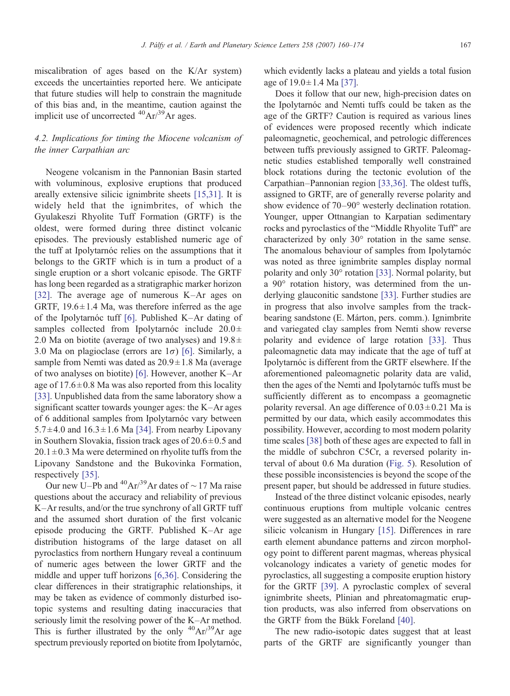miscalibration of ages based on the K/Ar system) exceeds the uncertainties reported here. We anticipate that future studies will help to constrain the magnitude of this bias and, in the meantime, caution against the implicit use of uncorrected  ${}^{40}Ar^{39}Ar$  ages.

## 4.2. Implications for timing the Miocene volcanism of the inner Carpathian arc

Neogene volcanism in the Pannonian Basin started with voluminous, explosive eruptions that produced areally extensive silicic ignimbrite sheets [\[15,31\]](#page-12-0). It is widely held that the ignimbrites, of which the Gyulakeszi Rhyolite Tuff Formation (GRTF) is the oldest, were formed during three distinct volcanic episodes. The previously established numeric age of the tuff at Ipolytarnóc relies on the assumptions that it belongs to the GRTF which is in turn a product of a single eruption or a short volcanic episode. The GRTF has long been regarded as a stratigraphic marker horizon [\[32\]](#page-12-0). The average age of numerous K–Ar ages on GRTF,  $19.6 \pm 1.4$  Ma, was therefore inferred as the age of the Ipolytarnóc tuff [\[6\]](#page-12-0). Published K–Ar dating of samples collected from Ipolytarnóc include  $20.0 \pm$ 2.0 Ma on biotite (average of two analyses) and  $19.8 \pm$ 3.0 Ma on plagioclase (errors are  $1\sigma$ ) [\[6\].](#page-12-0) Similarly, a sample from Nemti was dated as  $20.9 \pm 1.8$  Ma (average of two analyses on biotite) [\[6\]](#page-12-0). However, another K–Ar age of  $17.6 \pm 0.8$  Ma was also reported from this locality [\[33\]](#page-12-0). Unpublished data from the same laboratory show a significant scatter towards younger ages: the K–Ar ages of 6 additional samples from Ipolytarnóc vary between  $5.7 \pm 4.0$  and  $16.3 \pm 1.6$  Ma [\[34\].](#page-12-0) From nearby Lipovany in Southern Slovakia, fission track ages of  $20.6 \pm 0.5$  and  $20.1 \pm 0.3$  Ma were determined on rhyolite tuffs from the Lipovany Sandstone and the Bukovinka Formation, respectively [\[35\].](#page-12-0)

Our new U–Pb and  $^{40}Ar^{39}Ar$  dates of ~17 Ma raise questions about the accuracy and reliability of previous K–Ar results, and/or the true synchrony of all GRTF tuff and the assumed short duration of the first volcanic episode producing the GRTF. Published K–Ar age distribution histograms of the large dataset on all pyroclastics from northern Hungary reveal a continuum of numeric ages between the lower GRTF and the middle and upper tuff horizons [\[6,36\].](#page-12-0) Considering the clear differences in their stratigraphic relationships, it may be taken as evidence of commonly disturbed isotopic systems and resulting dating inaccuracies that seriously limit the resolving power of the K–Ar method. This is further illustrated by the only  ${}^{40}Ar/{}^{39}Ar$  age spectrum previously reported on biotite from Ipolytarnóc,

which evidently lacks a plateau and yields a total fusion age of  $19.0 \pm 1.4$  Ma [\[37\]](#page-12-0).

Does it follow that our new, high-precision dates on the Ipolytarnóc and Nemti tuffs could be taken as the age of the GRTF? Caution is required as various lines of evidences were proposed recently which indicate paleomagnetic, geochemical, and petrologic differences between tuffs previously assigned to GRTF. Paleomagnetic studies established temporally well constrained block rotations during the tectonic evolution of the Carpathian–Pannonian region [\[33,36\].](#page-12-0) The oldest tuffs, assigned to GRTF, are of generally reverse polarity and show evidence of 70–90° westerly declination rotation. Younger, upper Ottnangian to Karpatian sedimentary rocks and pyroclastics of the "Middle Rhyolite Tuff" are characterized by only 30° rotation in the same sense. The anomalous behaviour of samples from Ipolytarnóc was noted as three ignimbrite samples display normal polarity and only 30° rotation [\[33\].](#page-12-0) Normal polarity, but a 90° rotation history, was determined from the underlying glauconitic sandstone [\[33\]](#page-12-0). Further studies are in progress that also involve samples from the trackbearing sandstone (E. Márton, pers. comm.). Ignimbrite and variegated clay samples from Nemti show reverse polarity and evidence of large rotation [\[33\]](#page-12-0). Thus paleomagnetic data may indicate that the age of tuff at Ipolytarnóc is different from the GRTF elsewhere. If the aforementioned paleomagnetic polarity data are valid, then the ages of the Nemti and Ipolytarnóc tuffs must be sufficiently different as to encompass a geomagnetic polarity reversal. An age difference of  $0.03 \pm 0.21$  Ma is permitted by our data, which easily accommodates this possibility. However, according to most modern polarity time scales [\[38\]](#page-12-0) both of these ages are expected to fall in the middle of subchron C5Cr, a reversed polarity interval of about 0.6 Ma duration ([Fig. 5\)](#page-8-0). Resolution of these possible inconsistencies is beyond the scope of the present paper, but should be addressed in future studies.

Instead of the three distinct volcanic episodes, nearly continuous eruptions from multiple volcanic centres were suggested as an alternative model for the Neogene silicic volcanism in Hungary [\[15\]](#page-12-0). Differences in rare earth element abundance patterns and zircon morphology point to different parent magmas, whereas physical volcanology indicates a variety of genetic modes for pyroclastics, all suggesting a composite eruption history for the GRTF [\[39\]](#page-13-0). A pyroclastic complex of several ignimbrite sheets, Plinian and phreatomagmatic eruption products, was also inferred from observations on the GRTF from the Bükk Foreland [\[40\]](#page-13-0).

The new radio-isotopic dates suggest that at least parts of the GRTF are significantly younger than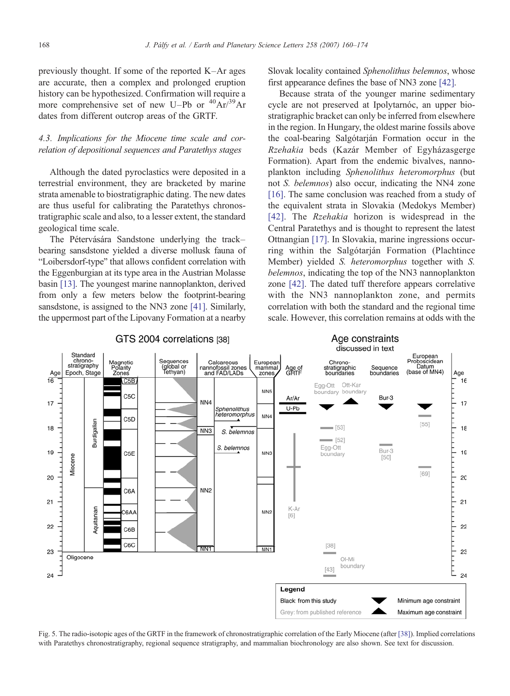<span id="page-8-0"></span>previously thought. If some of the reported K–Ar ages are accurate, then a complex and prolonged eruption history can be hypothesized. Confirmation will require a more comprehensive set of new U–Pb or  $^{40}Ar^{39}Ar$ dates from different outcrop areas of the GRTF.

## 4.3. Implications for the Miocene time scale and correlation of depositional sequences and Paratethys stages

Although the dated pyroclastics were deposited in a terrestrial environment, they are bracketed by marine strata amenable to biostratigraphic dating. The new dates are thus useful for calibrating the Paratethys chronostratigraphic scale and also, to a lesser extent, the standard geological time scale.

The Pétervására Sandstone underlying the track– bearing sansdstone yielded a diverse mollusk fauna of "Loibersdorf-type" that allows confident correlation with the Eggenburgian at its type area in the Austrian Molasse basin [\[13\]](#page-12-0). The youngest marine nannoplankton, derived from only a few meters below the footprint-bearing sansdstone, is assigned to the NN3 zone [\[41\]](#page-13-0). Similarly, the uppermost part of the Lipovany Formation at a nearby

Slovak locality contained Sphenolithus belemnos, whose first appearance defines the base of NN3 zone [\[42\].](#page-13-0)

Because strata of the younger marine sedimentary cycle are not preserved at Ipolytarnóc, an upper biostratigraphic bracket can only be inferred from elsewhere in the region. In Hungary, the oldest marine fossils above the coal-bearing Salgótarján Formation occur in the Rzehakia beds (Kazár Member of Egyházasgerge Formation). Apart from the endemic bivalves, nannoplankton including Sphenolithus heteromorphus (but not *S. belemnos*) also occur, indicating the NN4 zone [\[16\].](#page-12-0) The same conclusion was reached from a study of the equivalent strata in Slovakia (Medokys Member) [\[42\]](#page-13-0). The *Rzehakia* horizon is widespread in the Central Paratethys and is thought to represent the latest Ottnangian [\[17\]](#page-12-0). In Slovakia, marine ingressions occurring within the Salgótarján Formation (Plachtince Member) yielded S. heteromorphus together with S. belemnos, indicating the top of the NN3 nannoplankton zone [\[42\].](#page-13-0) The dated tuff therefore appears correlative with the NN3 nannoplankton zone, and permits correlation with both the standard and the regional time scale. However, this correlation remains at odds with the

Age constraints



## GTS 2004 correlations [38]

Fig. 5. The radio-isotopic ages of the GRTF in the framework of chronostratigraphic correlation of the Early Miocene (after [\[38\]](#page-12-0)). Implied correlations with Paratethys chronostratigraphy, regional sequence stratigraphy, and mammalian biochronology are also shown. See text for discussion.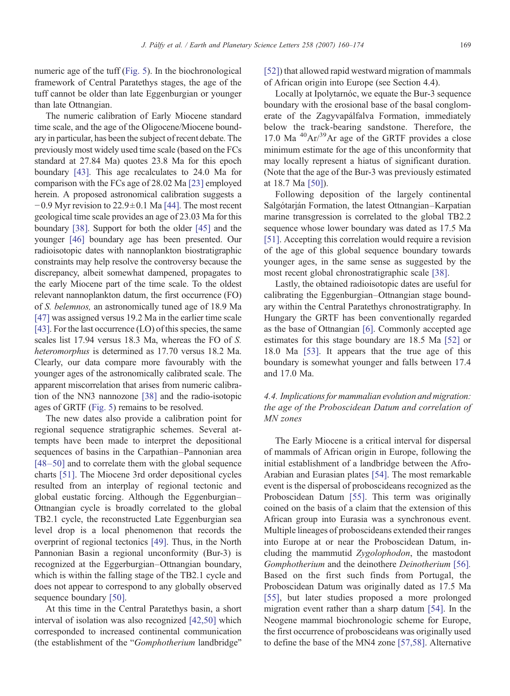numeric age of the tuff ([Fig. 5](#page-8-0)). In the biochronological framework of Central Paratethys stages, the age of the tuff cannot be older than late Eggenburgian or younger than late Ottnangian.

The numeric calibration of Early Miocene standard time scale, and the age of the Oligocene/Miocene boundary in particular, has been the subject of recent debate. The previously most widely used time scale (based on the FCs standard at 27.84 Ma) quotes 23.8 Ma for this epoch boundary [\[43\].](#page-13-0) This age recalculates to 24.0 Ma for comparison with the FCs age of 28.02 Ma [\[23\]](#page-12-0) employed herein. A proposed astronomical calibration suggests a  $-0.9$  Myr revision to 22.9 $\pm$ 0.1 Ma [\[44\]](#page-13-0). The most recent geological time scale provides an age of 23.03 Ma for this boundary [\[38\]](#page-12-0). Support for both the older [\[45\]](#page-13-0) and the younger [\[46\]](#page-13-0) boundary age has been presented. Our radioisotopic dates with nannoplankton biostratigraphic constraints may help resolve the controversy because the discrepancy, albeit somewhat dampened, propagates to the early Miocene part of the time scale. To the oldest relevant nannoplankton datum, the first occurrence (FO) of S. belemnos, an astronomically tuned age of 18.9 Ma [\[47\]](#page-13-0) was assigned versus 19.2 Ma in the earlier time scale [\[43\].](#page-13-0) For the last occurrence (LO) of this species, the same scales list 17.94 versus 18.3 Ma, whereas the FO of S. heteromorphus is determined as 17.70 versus 18.2 Ma. Clearly, our data compare more favourably with the younger ages of the astronomically calibrated scale. The apparent miscorrelation that arises from numeric calibration of the NN3 nannozone [\[38\]](#page-12-0) and the radio-isotopic ages of GRTF ([Fig. 5\)](#page-8-0) remains to be resolved.

The new dates also provide a calibration point for regional sequence stratigraphic schemes. Several attempts have been made to interpret the depositional sequences of basins in the Carpathian–Pannonian area [48–[50\]](#page-13-0) and to correlate them with the global sequence charts [\[51\].](#page-13-0) The Miocene 3rd order depositional cycles resulted from an interplay of regional tectonic and global eustatic forcing. Although the Eggenburgian– Ottnangian cycle is broadly correlated to the global TB2.1 cycle, the reconstructed Late Eggenburgian sea level drop is a local phenomenon that records the overprint of regional tectonics [\[49\].](#page-13-0) Thus, in the North Pannonian Basin a regional unconformity (Bur-3) is recognized at the Eggerburgian–Ottnangian boundary, which is within the falling stage of the TB2.1 cycle and does not appear to correspond to any globally observed sequence boundary [\[50\]](#page-13-0).

At this time in the Central Paratethys basin, a short interval of isolation was also recognized [\[42,50\]](#page-13-0) which corresponded to increased continental communication (the establishment of the "Gomphotherium landbridge"

[\[52\]](#page-13-0)) that allowed rapid westward migration of mammals of African origin into Europe (see Section 4.4).

Locally at Ipolytarnóc, we equate the Bur-3 sequence boundary with the erosional base of the basal conglomerate of the Zagyvapálfalva Formation, immediately below the track-bearing sandstone. Therefore, the 17.0 Ma  $^{40}Ar/^{39}Ar$  age of the GRTF provides a close minimum estimate for the age of this unconformity that may locally represent a hiatus of significant duration. (Note that the age of the Bur-3 was previously estimated at 18.7 Ma [\[50\]](#page-13-0)).

Following deposition of the largely continental Salgótarján Formation, the latest Ottnangian–Karpatian marine transgression is correlated to the global TB2.2 sequence whose lower boundary was dated as 17.5 Ma [\[51\]](#page-13-0). Accepting this correlation would require a revision of the age of this global sequence boundary towards younger ages, in the same sense as suggested by the most recent global chronostratigraphic scale [\[38\].](#page-12-0)

Lastly, the obtained radioisotopic dates are useful for calibrating the Eggenburgian–Ottnangian stage boundary within the Central Paratethys chronostratigraphy. In Hungary the GRTF has been conventionally regarded as the base of Ottnangian [\[6\].](#page-12-0) Commonly accepted age estimates for this stage boundary are 18.5 Ma [\[52\]](#page-13-0) or 18.0 Ma [\[53\]](#page-13-0). It appears that the true age of this boundary is somewhat younger and falls between 17.4 and 17.0 Ma.

## 4.4. Implications for mammalian evolution and migration: the age of the Proboscidean Datum and correlation of MN zones

The Early Miocene is a critical interval for dispersal of mammals of African origin in Europe, following the initial establishment of a landbridge between the Afro-Arabian and Eurasian plates [\[54\]](#page-13-0). The most remarkable event is the dispersal of proboscideans recognized as the Proboscidean Datum [\[55\].](#page-13-0) This term was originally coined on the basis of a claim that the extension of this African group into Eurasia was a synchronous event. Multiple lineages of proboscideans extended their ranges into Europe at or near the Proboscidean Datum, including the mammutid Zygolophodon, the mastodont Gomphotherium and the deinothere Deinotherium [\[56\]](#page-13-0). Based on the first such finds from Portugal, the Proboscidean Datum was originally dated as 17.5 Ma [\[55\]](#page-13-0), but later studies proposed a more prolonged migration event rather than a sharp datum [\[54\]](#page-13-0). In the Neogene mammal biochronologic scheme for Europe, the first occurrence of proboscideans was originally used to define the base of the MN4 zone [\[57,58\].](#page-13-0) Alternative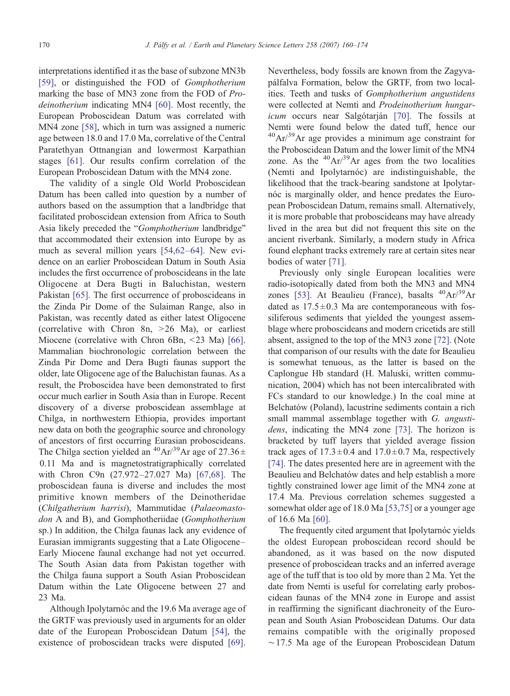interpretations identified it as the base of subzone MN3b [\[59\],](#page-13-0) or distinguished the FOD of Gomphotherium marking the base of MN3 zone from the FOD of Pro-deinotherium indicating MN4 [\[60\]](#page-13-0). Most recently, the European Proboscidean Datum was correlated with MN4 zone [\[58\],](#page-13-0) which in turn was assigned a numeric age between 18.0 and 17.0 Ma, correlative of the Central Paratethyan Ottnangian and lowermost Karpathian stages [\[61\].](#page-13-0) Our results confirm correlation of the European Proboscidean Datum with the MN4 zone.

The validity of a single Old World Proboscidean Datum has been called into question by a number of authors based on the assumption that a landbridge that facilitated proboscidean extension from Africa to South Asia likely preceded the "Gomphotherium landbridge" that accommodated their extension into Europe by as much as several million years [\[54,62](#page-13-0)–64]. New evidence on an earlier Proboscidean Datum in South Asia includes the first occurrence of proboscideans in the late Oligocene at Dera Bugti in Baluchistan, western Pakistan [\[65\]](#page-13-0). The first occurrence of proboscideans in the Zinda Pir Dome of the Sulaiman Range, also in Pakistan, was recently dated as either latest Oligocene (correlative with Chron 8n,  $>26$  Ma), or earliest Miocene (correlative with Chron 6Bn,  $\leq$ 23 Ma) [\[66\].](#page-13-0) Mammalian biochronologic correlation between the Zinda Pir Dome and Dera Bugti faunas support the older, late Oligocene age of the Baluchistan faunas. As a result, the Proboscidea have been demonstrated to first occur much earlier in South Asia than in Europe. Recent discovery of a diverse proboscidean assemblage at Chilga, in northwestern Ethiopia, provides important new data on both the geographic source and chronology of ancestors of first occurring Eurasian proboscideans. The Chilga section yielded an <sup>40</sup>Ar/<sup>39</sup>Ar age of 27.36 $\pm$ 0.11 Ma and is magnetostratigraphically correlated with Chron C9n (27.972–27.027 Ma) [\[67,68\].](#page-13-0) The proboscidean fauna is diverse and includes the most primitive known members of the Deinotheridae (Chilgatherium harrisi), Mammutidae (Palaeomastodon A and B), and Gomphotheriidae (Gomphotherium sp.) In addition, the Chilga faunas lack any evidence of Eurasian immigrants suggesting that a Late Oligocene– Early Miocene faunal exchange had not yet occurred. The South Asian data from Pakistan together with the Chilga fauna support a South Asian Proboscidean Datum within the Late Oligocene between 27 and 23 Ma.

Although Ipolytarnóc and the 19.6 Ma average age of the GRTF was previously used in arguments for an older date of the European Proboscidean Datum [\[54\],](#page-13-0) the existence of proboscidean tracks were disputed [\[69\].](#page-14-0)

Nevertheless, body fossils are known from the Zagyvapálfalva Formation, below the GRTF, from two localities. Teeth and tusks of Gomphotherium angustidens were collected at Nemti and Prodeinotherium hungar-icum occurs near Salgótarján [\[70\]](#page-14-0). The fossils at Nemti were found below the dated tuff, hence our  $^{40}Ar^{39}Ar$  age provides a minimum age constraint for the Proboscidean Datum and the lower limit of the MN4 zone. As the  ${}^{40}Ar/{}^{39}Ar$  ages from the two localities (Nemti and Ipolytarnóc) are indistinguishable, the likelihood that the track-bearing sandstone at Ipolytarnóc is marginally older, and hence predates the European Proboscidean Datum, remains small. Alternatively, it is more probable that proboscideans may have already lived in the area but did not frequent this site on the ancient riverbank. Similarly, a modern study in Africa found elephant tracks extremely rare at certain sites near bodies of water [\[71\].](#page-14-0)

Previously only single European localities were radio-isotopically dated from both the MN3 and MN4 zones [\[53\].](#page-13-0) At Beaulieu (France), basalts  $^{40}Ar/^{39}Ar$ dated as  $17.5 \pm 0.3$  Ma are contemporaneous with fossiliferous sediments that yielded the youngest assemblage where proboscideans and modern cricetids are still absent, assigned to the top of the MN3 zone [\[72\].](#page-14-0) (Note that comparison of our results with the date for Beaulieu is somewhat tenuous, as the latter is based on the Caplongue Hb standard (H. Maluski, written communication, 2004) which has not been intercalibrated with FCs standard to our knowledge.) In the coal mine at Belchatów (Poland), lacustrine sediments contain a rich small mammal assemblage together with G. angusti-dens, indicating the MN4 zone [\[73\]](#page-14-0). The horizon is bracketed by tuff layers that yielded average fission track ages of  $17.3 \pm 0.4$  and  $17.0 \pm 0.7$  Ma, respectively [\[74\].](#page-14-0) The dates presented here are in agreement with the Beaulieu and Belchatów dates and help establish a more tightly constrained lower age limit of the MN4 zone at 17.4 Ma. Previous correlation schemes suggested a somewhat older age of 18.0 Ma [\[53,75\]](#page-13-0) or a younger age of 16.6 Ma [\[60\].](#page-13-0)

The frequently cited argument that Ipolytarnóc yields the oldest European proboscidean record should be abandoned, as it was based on the now disputed presence of proboscidean tracks and an inferred average age of the tuff that is too old by more than 2 Ma. Yet the date from Nemti is useful for correlating early proboscidean faunas of the MN4 zone in Europe and assist in reaffirming the significant diachroneity of the European and South Asian Proboscidean Datums. Our data remains compatible with the originally proposed ∼17.5 Ma age of the European Proboscidean Datum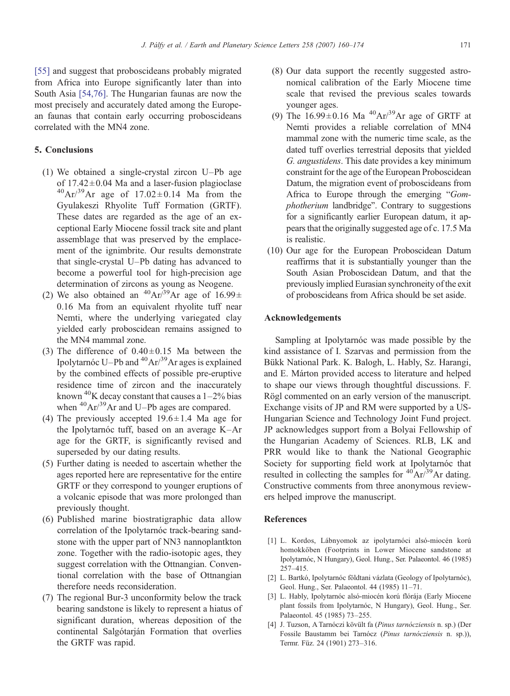<span id="page-11-0"></span>[\[55\]](#page-13-0) and suggest that proboscideans probably migrated from Africa into Europe significantly later than into South Asia [\[54,76\]](#page-13-0). The Hungarian faunas are now the most precisely and accurately dated among the European faunas that contain early occurring proboscideans correlated with the MN4 zone.

## 5. Conclusions

- (1) We obtained a single-crystal zircon U–Pb age of  $17.42 \pm 0.04$  Ma and a laser-fusion plagioclase  $^{40}Ar^{39}Ar$  age of 17.02 ± 0.14 Ma from the Gyulakeszi Rhyolite Tuff Formation (GRTF). These dates are regarded as the age of an exceptional Early Miocene fossil track site and plant assemblage that was preserved by the emplacement of the ignimbrite. Our results demonstrate that single-crystal U–Pb dating has advanced to become a powerful tool for high-precision age determination of zircons as young as Neogene.
- (2) We also obtained an  $^{40}Ar^{39}Ar$  age of  $16.99\pm$ 0.16 Ma from an equivalent rhyolite tuff near Nemti, where the underlying variegated clay yielded early proboscidean remains assigned to the MN4 mammal zone.
- (3) The difference of  $0.40 \pm 0.15$  Ma between the Ipolytarnóc U–Pb and <sup>40</sup>Ar/<sup>39</sup>Ar ages is explained by the combined effects of possible pre-eruptive residence time of zircon and the inaccurately known <sup>40</sup>K decay constant that causes a  $1-2\%$  bias when  ${}^{40}Ar/{}^{39}Ar$  and U–Pb ages are compared.
- (4) The previously accepted  $19.6 \pm 1.4$  Ma age for the Ipolytarnóc tuff, based on an average K–Ar age for the GRTF, is significantly revised and superseded by our dating results.
- (5) Further dating is needed to ascertain whether the ages reported here are representative for the entire GRTF or they correspond to younger eruptions of a volcanic episode that was more prolonged than previously thought.
- (6) Published marine biostratigraphic data allow correlation of the Ipolytarnóc track-bearing sandstone with the upper part of NN3 nannoplantkton zone. Together with the radio-isotopic ages, they suggest correlation with the Ottnangian. Conventional correlation with the base of Ottnangian therefore needs reconsideration.
- (7) The regional Bur-3 unconformity below the track bearing sandstone is likely to represent a hiatus of significant duration, whereas deposition of the continental Salgótarján Formation that overlies the GRTF was rapid.
- (8) Our data support the recently suggested astronomical calibration of the Early Miocene time scale that revised the previous scales towards younger ages.
- (9) The  $16.99 \pm 0.16$  Ma  $^{40}Ar^{39}Ar$  age of GRTF at Nemti provides a reliable correlation of MN4 mammal zone with the numeric time scale, as the dated tuff overlies terrestrial deposits that yielded G. angustidens. This date provides a key minimum constraint for the age of the European Proboscidean Datum, the migration event of proboscideans from Africa to Europe through the emerging "Gomphotherium landbridge". Contrary to suggestions for a significantly earlier European datum, it appears that the originally suggested age of c. 17.5 Ma is realistic.
- (10) Our age for the European Proboscidean Datum reaffirms that it is substantially younger than the South Asian Proboscidean Datum, and that the previously implied Eurasian synchroneity of the exit of proboscideans from Africa should be set aside.

## Acknowledgements

Sampling at Ipolytarnóc was made possible by the kind assistance of I. Szarvas and permission from the Bükk National Park. K. Balogh, L. Hably, Sz. Harangi, and E. Márton provided access to literature and helped to shape our views through thoughtful discussions. F. Rögl commented on an early version of the manuscript. Exchange visits of JP and RM were supported by a US-Hungarian Science and Technology Joint Fund project. JP acknowledges support from a Bolyai Fellowship of the Hungarian Academy of Sciences. RLB, LK and PRR would like to thank the National Geographic Society for supporting field work at Ipolytarnóc that resulted in collecting the samples for  ${}^{40}Ar/{}^{39}Ar$  dating. Constructive comments from three anonymous reviewers helped improve the manuscript.

## References

- [1] L. Kordos, Lábnyomok az ipolytarnóci alsó-miocén korú homokkőben (Footprints in Lower Miocene sandstone at Ipolytarnóc, N Hungary), Geol. Hung., Ser. Palaeontol. 46 (1985) 257–415.
- [2] L. Bartkó, Ipolytarnóc földtani vázlata (Geology of Ipolytarnóc), Geol. Hung., Ser. Palaeontol. 44 (1985) 11–71.
- [3] L. Hably, Ipolytarnóc alsó-miocén korú flórája (Early Miocene plant fossils from Ipolytarnóc, N Hungary), Geol. Hung., Ser. Palaeontol. 45 (1985) 73–255.
- [4] J. Tuzson, A Tarnóczi kövült fa (Pinus tarnócziensis n. sp.) (Der Fossile Baustamm bei Tarnócz (Pinus tarnócziensis n. sp.)), Termr. Füz. 24 (1901) 273–316.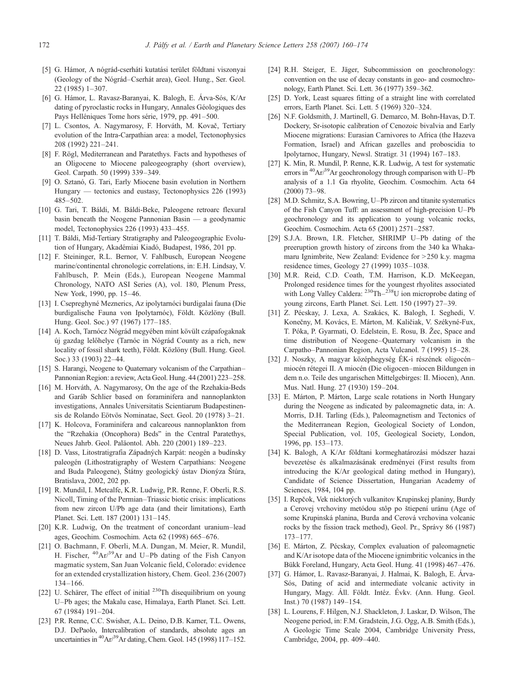- <span id="page-12-0"></span>[5] G. Hámor, A nógrád-cserháti kutatási terület földtani viszonyai (Geology of the Nógrád–Cserhát area), Geol. Hung., Ser. Geol. 22 (1985) 1–307.
- [6] G. Hámor, L. Ravasz-Baranyai, K. Balogh, E. Árva-Sós, K/Ar dating of pyroclastic rocks in Hungary, Annales Géologiques des Pays Helléniques Tome hors série, 1979, pp. 491–500.
- [7] L. Csontos, A. Nagymarosy, F. Horváth, M. Kovač, Tertiary evolution of the Intra-Carpathian area: a model, Tectonophysics 208 (1992) 221–241.
- [8] F. Rögl, Mediterranean and Paratethys. Facts and hypotheses of an Oligocene to Miocene paleogeography (short overview), Geol. Carpath. 50 (1999) 339–349.
- [9] O. Sztanó, G. Tari, Early Miocene basin evolution in Northern Hungary — tectonics and eustasy, Tectonophysics 226 (1993) 485–502.
- [10] G. Tari, T. Báldi, M. Báldi-Beke, Paleogene retroarc flexural basin beneath the Neogene Pannonian Basin — a geodynamic model, Tectonophysics 226 (1993) 433–455.
- [11] T. Báldi, Mid-Tertiary Stratigraphy and Paleogeographic Evolution of Hungary, Akadémiai Kiadó, Budapest, 1986, 201 pp.
- [12] F. Steininger, R.L. Bernor, V. Fahlbusch, European Neogene marine/continental chronologic correlations, in: E.H. Lindsay, V. Fahlbusch, P. Mein (Eds.), European Neogene Mammal Chronology, NATO ASI Series (A), vol. 180, Plenum Press, New York, 1990, pp. 15–46.
- [13] I. Csepreghyné Meznerics, Az ipolytarnóci burdigalai fauna (Die burdigalische Fauna von Ipolytarnóc), Földt. Közlöny (Bull. Hung. Geol. Soc.) 97 (1967) 177–185.
- [14] A. Koch, Tarnócz Nógrád megyében mint kövült czápafogaknak új gazdag lelőhelye (Tarnóc in Nógrád County as a rich, new locality of fossil shark teeth), Földt. Közlöny (Bull. Hung. Geol. Soc.) 33 (1903) 22–44.
- [15] S. Harangi, Neogene to Quaternary volcanism of the Carpathian– Pannonian Region: a review, Acta Geol. Hung. 44 (2001) 223–258.
- [16] M. Horváth, A. Nagymarosy, On the age of the Rzehakia-Beds and Garáb Schlier based on foraminifera and nannoplankton investigations, Annales Universitatis Scientiarum Budapestinensis de Rolando Eötvös Nominatae, Sect. Geol. 20 (1978) 3–21.
- [17] K. Holcova, Foraminifera and calcareous nannoplankton from the "Rzehakia (Oncophora) Beds" in the Central Paratethys, Neues Jahrb. Geol. Paläontol. Abh. 220 (2001) 189–223.
- [18] D. Vass, Litostratigrafia Západných Karpát: neogén a budínsky paleogén (Lithostratigraphy of Western Carpathians: Neogene and Buda Paleogene), Štátny geologický ústav Dionýza Štúra, Bratislava, 2002, 202 pp.
- [19] R. Mundil, I. Metcalfe, K.R. Ludwig, P.R. Renne, F. Oberli, R.S. Nicoll, Timing of the Permian–Triassic biotic crisis: implications from new zircon U/Pb age data (and their limitations), Earth Planet. Sci. Lett. 187 (2001) 131–145.
- [20] K.R. Ludwig, On the treatment of concordant uranium–lead ages, Geochim. Cosmochim. Acta 62 (1998) 665–676.
- [21] O. Bachmann, F. Oberli, M.A. Dungan, M. Meier, R. Mundil, H. Fischer,  $^{40}Ar/^{39}Ar$  and U–Pb dating of the Fish Canyon magmatic system, San Juan Volcanic field, Colorado: evidence for an extended crystallization history, Chem. Geol. 236 (2007) 134–166.
- [22] U. Schärer, The effect of initial  $^{230}$ Th disequilibrium on young U–Pb ages; the Makalu case, Himalaya, Earth Planet. Sci. Lett. 67 (1984) 191–204.
- [23] P.R. Renne, C.C. Swisher, A.L. Deino, D.B. Karner, T.L. Owens, D.J. DePaolo, Intercalibration of standards, absolute ages an uncertainties in <sup>40</sup>Ar/<sup>39</sup>Ar dating, Chem. Geol. 145 (1998) 117-152.
- [24] R.H. Steiger, E. Jäger, Subcommission on geochronology: convention on the use of decay constants in geo- and cosmochronology, Earth Planet. Sci. Lett. 36 (1977) 359–362.
- [25] D. York, Least squares fitting of a straight line with correlated errors, Earth Planet. Sci. Lett. 5 (1969) 320–324.
- [26] N.F. Goldsmith, J. Martinell, G. Demarco, M. Bohn-Havas, D.T. Dockery, Sr-isotopic calibration of Cenozoic bivalvia and Early Miocene migrations: Eurasian Carnivores to Africa (the Hazeva Formation, Israel) and African gazelles and proboscidia to Ipolytarnoc, Hungary, Newsl. Stratigr. 31 (1994) 167–183.
- [27] K. Min, R. Mundil, P. Renne, K.R. Ludwig, A test for systematic errors in 40Ar/39Ar geochronology through comparison with U–Pb analysis of a 1.1 Ga rhyolite, Geochim. Cosmochim. Acta 64 (2000) 73–98.
- [28] M.D. Schmitz, S.A. Bowring, U-Pb zircon and titanite systematics of the Fish Canyon Tuff: an assessment of high-precision U–Pb geochronology and its application to young volcanic rocks, Geochim. Cosmochim. Acta 65 (2001) 2571–2587.
- [29] S.J.A. Brown, I.R. Fletcher, SHRIMP U–Pb dating of the preeruption growth history of zircons from the 340 ka Whakamaru Ignimbrite, New Zealand: Evidence for  $>$  250 k.y. magma residence times, Geology 27 (1999) 1035–1038.
- [30] M.R. Reid, C.D. Coath, T.M. Harrison, K.D. McKeegan, Prolonged residence times for the youngest rhyolites associated with Long Valley Caldera:  $^{230}$ Th $^{238}$ U ion microprobe dating of young zircons, Earth Planet. Sci. Lett. 150 (1997) 27–39.
- [31] Z. Pécskay, J. Lexa, A. Szakács, K. Balogh, I. Seghedi, V. Konečny, M. Kovács, E. Márton, M. Kaličiak, V. Székyné-Fux, T. Póka, P. Gyarmati, O. Edelstein, E. Rosu, B. Žec, Space and time distribution of Neogene–Quaternary volcanism in the Carpatho–Pannonian Region, Acta Vulcanol. 7 (1995) 15–28.
- [32] J. Noszky, A magyar középhegység ÉK-i részének oligocén– miocén rétegei II. A miocén (Die oligocen–miocen Bildungen in dem n.o. Teile des ungarischen Mittelgebirges: II. Miocen), Ann. Mus. Natl. Hung. 27 (1930) 159–204.
- [33] E. Márton, P. Márton, Large scale rotations in North Hungary during the Neogene as indicated by paleomagnetic data, in: A. Morris, D.H. Tarling (Eds.), Paleomagnetism and Tectonics of the Mediterranean Region, Geological Society of London, Special Publication, vol. 105, Geological Society, London, 1996, pp. 153–173.
- [34] K. Balogh, A K/Ar földtani kormeghatározási módszer hazai bevezetése és alkalmazásának eredményei (First results from introducing the K/Ar geological dating method in Hungary), Candidate of Science Dissertation, Hungarian Academy of Sciences, 1984, 104 pp.
- [35] I. Repčok, Vek niektorých vulkanitov Krupinskej planiny, Burdy a Cerovej vrchoviny metódou stôp po štiepení uránu (Age of some Krupinská planina, Burda and Cerová vrchovina volcanic rocks by the fission track method), Geol. Pr., Správy 86 (1987) 173–177.
- [36] E. Márton, Z. Pécskay, Complex evaluation of paleomagnetic and K/Ar isotope data of the Miocene ignimbritic volcanics in the Bükk Foreland, Hungary, Acta Geol. Hung. 41 (1998) 467–476.
- [37] G. Hámor, L. Ravasz-Baranyai, J. Halmai, K. Balogh, E. Árva-Sós, Dating of acid and intermediate volcanic activity in Hungary, Magy. Áll. Földt. Intéz. Évkv. (Ann. Hung. Geol. Inst.) 70 (1987) 149–154.
- [38] L. Lourens, F. Hilgen, N.J. Shackleton, J. Laskar, D. Wilson, The Neogene period, in: F.M. Gradstein, J.G. Ogg, A.B. Smith (Eds.), A Geologic Time Scale 2004, Cambridge University Press, Cambridge, 2004, pp. 409–440.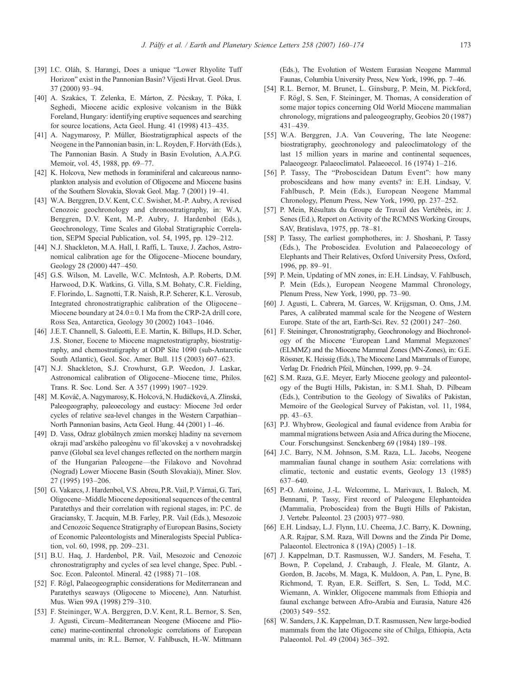- 
- <span id="page-13-0"></span>[39] I.C. Oláh, S. Harangi, Does a unique "Lower Rhyolite Tuff Horizon" exist in the Pannonian Basin? Vijesti Hrvat. Geol. Drus. 37 (2000) 93–94.
- [40] A. Szakács, T. Zelenka, E. Márton, Z. Pécskay, T. Póka, I. Seghedi, Miocene acidic explosive volcanism in the Bükk Foreland, Hungary: identifying eruptive sequences and searching for source locations, Acta Geol. Hung. 41 (1998) 413–435.
- [41] A. Nagymarosy, P. Müller, Biostratigraphical aspects of the Neogene in the Pannonian basin, in: L. Royden, F. Horváth (Eds.), The Pannonian Basin. A Study in Basin Evolution, A.A.P.G. Memoir, vol. 45, 1988, pp. 69–77.
- [42] K. Holcova, New methods in foraminiferal and calcareous nannoplankton analysis and evolution of Oligocene and Miocene basins of the Southern Slovakia, Slovak Geol. Mag. 7 (2001) 19–41.
- [43] W.A. Berggren, D.V. Kent, C.C. Swisher, M.-P. Aubry, A revised Cenozoic geochronology and chronostratigraphy, in: W.A. Berggren, D.V. Kent, M.-P. Aubry, J. Hardenbol (Eds.), Geochronology, Time Scales and Global Stratigraphic Correlation, SEPM Special Publication, vol. 54, 1995, pp. 129–212.
- [44] N.J. Shackleton, M.A. Hall, I. Raffi, L. Tauxe, J. Zachos, Astronomical calibration age for the Oligocene–Miocene boundary, Geology 28 (2000) 447–450.
- [45] G.S. Wilson, M. Lavelle, W.C. McIntosh, A.P. Roberts, D.M. Harwood, D.K. Watkins, G. Villa, S.M. Bohaty, C.R. Fielding, F. Florindo, L. Sagnotti, T.R. Naish, R.P. Scherer, K.L. Verosub, Integrated chronostratigraphic calibration of the Oligocene– Miocene boundary at  $24.0 \pm 0.1$  Ma from the CRP-2A drill core, Ross Sea, Antarctica, Geology 30 (2002) 1043–1046.
- [46] J.E.T. Channell, S. Galeotti, E.E. Martin, K. Billups, H.D. Scher, J.S. Stoner, Eocene to Miocene magnetostratigraphy, biostratigraphy, and chemostratigraphy at ODP Site 1090 (sub-Antarctic South Atlantic), Geol. Soc. Amer. Bull. 115 (2003) 607–623.
- [47] N.J. Shackleton, S.J. Crowhurst, G.P. Weedon, J. Laskar, Astronomical calibration of Oligocene–Miocene time, Philos. Trans. R. Soc. Lond. Ser. A 357 (1999) 1907–1929.
- [48] M. Kováč, A. Nagymarosy, K. Holcová, N. Hudáčková, A. Zlinská, Paleogeography, paleoecology and eustacy: Miocene 3rd order cycles of relative sea-level changes in the Western Carpathian– North Pannonian basins, Acta Geol. Hung. 44 (2001) 1–46.
- [49] D. Vass, Odraz globálnych zmien morskej hladiny na severnom okraji mad'arského paleogénu vo fil'akovskej a v novohradskej panve (Global sea level changes reflected on the northern margin of the Hungarian Paleogene—the Filakovo and Novohrad (Nograd) Lower Miocene Basin (South Slovakia)), Miner. Slov. 27 (1995) 193–206.
- [50] G. Vakarcs, J. Hardenbol, V.S. Abreu, P.R. Vail, P. Várnai, G. Tari, Oligocene–Middle Miocene depositional sequences of the central Paratethys and their correlation with regional stages, in: P.C. de Graciansky, T. Jacquin, M.B. Farley, P.R. Vail (Eds.), Mesozoic and Cenozoic Sequence Stratigraphy of European Basins, Society of Economic Paleontologists and Mineralogists Special Publication, vol. 60, 1998, pp. 209–231.
- [51] B.U. Haq, J. Hardenbol, P.R. Vail, Mesozoic and Cenozoic chronostratigraphy and cycles of sea level change, Spec. Publ. - Soc. Econ. Paleontol. Mineral. 42 (1988) 71–108.
- [52] F. Rögl, Palaeogeographic considerations for Mediterranean and Paratethys seaways (Oligocene to Miocene), Ann. Naturhist. Mus. Wien 99A (1998) 279–310.
- [53] F. Steininger, W.A. Berggren, D.V. Kent, R.L. Bernor, S. Sen, J. Agusti, Circum–Mediterranean Neogene (Miocene and Pliocene) marine-continental chronologic correlations of European mammal units, in: R.L. Bernor, V. Fahlbusch, H.-W. Mittmann

(Eds.), The Evolution of Western Eurasian Neogene Mammal Faunas, Columbia University Press, New York, 1996, pp. 7–46.

- [54] R.L. Bernor, M. Brunet, L. Ginsburg, P. Mein, M. Pickford, F. Rögl, S. Sen, F. Steininger, M. Thomas, A consideration of some major topics concerning Old World Miocene mammalian chronology, migrations and paleogeography, Geobios 20 (1987) 431–439.
- [55] W.A. Berggren, J.A. Van Couvering, The late Neogene: biostratigraphy, geochronology and paleoclimatology of the last 15 million years in marine and continental sequences, Palaeogeogr. Palaeoclimatol. Palaeoecol. 16 (1974) 1–216.
- [56] P. Tassy, The "Proboscidean Datum Event": how many proboscideans and how many events? in: E.H. Lindsay, V. Fahlbusch, P. Mein (Eds.), European Neogene Mammal Chronology, Plenum Press, New York, 1990, pp. 237–252.
- [57] P. Mein, Résultats du Groupe de Travail des Vertébrés, in: J. Senes (Ed.), Report on Activity of the RCMNS Working Groups, SAV, Bratislava, 1975, pp. 78–81.
- [58] P. Tassy, The earliest gomphotheres, in: J. Shoshani, P. Tassy (Eds.), The Proboscidea. Evolution and Palaeoecology of Elephants and Their Relatives, Oxford University Press, Oxford, 1996, pp. 89–91.
- [59] P. Mein, Updating of MN zones, in: E.H. Lindsay, V. Fahlbusch, P. Mein (Eds.), European Neogene Mammal Chronology, Plenum Press, New York, 1990, pp. 73–90.
- [60] J. Agusti, L. Cabrera, M. Garces, W. Krijgsman, O. Oms, J.M. Pares, A calibrated mammal scale for the Neogene of Western Europe. State of the art, Earth-Sci. Rev. 52 (2001) 247–260.
- [61] F. Steininger, Chronostratigraphy, Geochronology and Biochronology of the Miocene 'European Land Mammal Megazones' (ELMMZ) and the Miocene Mammal Zones (MN-Zones), in: G.E. Rössner, K. Heissig (Eds.), The Miocene Land Mammals of Europe, Verlag Dr. Friedrich Pfeil, München, 1999, pp. 9–24.
- [62] S.M. Raza, G.E. Meyer, Early Miocene geology and paleontology of the Bugti Hills, Pakistan, in: S.M.I. Shah, D. Pilbeam (Eds.), Contribution to the Geology of Siwaliks of Pakistan, Memoire of the Geological Survey of Pakistan, vol. 11, 1984, pp. 43–63.
- [63] P.J. Whybrow, Geological and faunal evidence from Arabia for mammal migrations between Asia and Africa during the Miocene, Cour. Forschungsinst. Senckenberg 69 (1984) 189–198.
- [64] J.C. Barry, N.M. Johnson, S.M. Raza, L.L. Jacobs, Neogene mammalian faunal change in southern Asia: correlations with climatic, tectonic and eustatic events, Geology 13 (1985) 637–640.
- [65] P.-O. Antoine, J.-L. Welcomme, L. Marivaux, I. Baloch, M. Bennami, P. Tassy, First record of Paleogene Elephantoidea (Mammalia, Proboscidea) from the Bugti Hills of Pakistan, J. Vertebr. Paleontol. 23 (2003) 977–980.
- [66] E.H. Lindsay, L.J. Flynn, I.U. Cheema, J.C. Barry, K. Downing, A.R. Rajpar, S.M. Raza, Will Downs and the Zinda Pir Dome, Palaeontol. Electronica 8 (19A) (2005) 1–18.
- [67] J. Kappelman, D.T. Rasmussen, W.J. Sanders, M. Feseha, T. Bown, P. Copeland, J. Crabaugh, J. Fleale, M. Glantz, A. Gordon, B. Jacobs, M. Maga, K. Muldoon, A. Pan, L. Pyne, B. Richmond, T. Ryan, E.R. Seiffert, S. Sen, L. Todd, M.C. Wiemann, A. Winkler, Oligocene mammals from Ethiopia and faunal exchange between Afro-Arabia and Eurasia, Nature 426 (2003) 549–552.
- [68] W. Sanders, J.K. Kappelman, D.T. Rasmussen, New large-bodied mammals from the late Oligocene site of Chilga, Ethiopia, Acta Palaeontol. Pol. 49 (2004) 365–392.